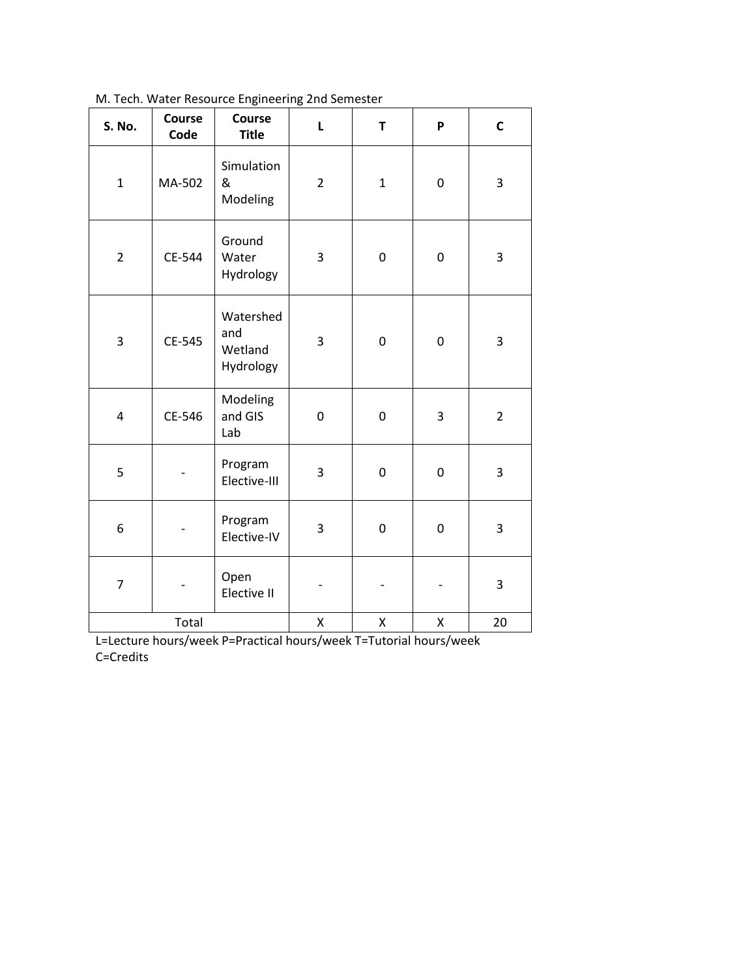| S. No.                  | Course<br>Code | Course<br><b>Title</b>                   | $\mathsf{L}$   | T            | P         | $\mathsf{C}$   |
|-------------------------|----------------|------------------------------------------|----------------|--------------|-----------|----------------|
| $\mathbf{1}$            | MA-502         | Simulation<br>&<br>Modeling              | $\overline{2}$ | $\mathbf{1}$ | $\pmb{0}$ | 3              |
| $\overline{2}$          | CE-544         | Ground<br>Water<br>Hydrology             | 3              | 0            | $\pmb{0}$ | 3              |
| 3                       | CE-545         | Watershed<br>and<br>Wetland<br>Hydrology | 3              | $\pmb{0}$    | $\pmb{0}$ | 3              |
| $\overline{\mathbf{4}}$ | CE-546         | Modeling<br>and GIS<br>Lab               | 0              | 0            | 3         | $\overline{2}$ |
| 5                       |                | Program<br>Elective-III                  | 3              | $\pmb{0}$    | $\pmb{0}$ | 3              |
| 6                       |                | Program<br>Elective-IV                   | 3              | $\pmb{0}$    | 0         | 3              |
| $\overline{7}$          |                | Open<br>Elective II                      |                |              |           | 3              |
| Total                   |                |                                          | Χ              | Χ            | Χ         | 20             |

[M. Tech. Water Resource Engineering 2nd Semester](http://mnit.ac.in/dept_civil/downloads/2012/II-sem-water-resource-engg.-m.tech_.pdf)

L=Lecture hours/week P=Practical hours/week T=Tutorial hours/week C=Credits